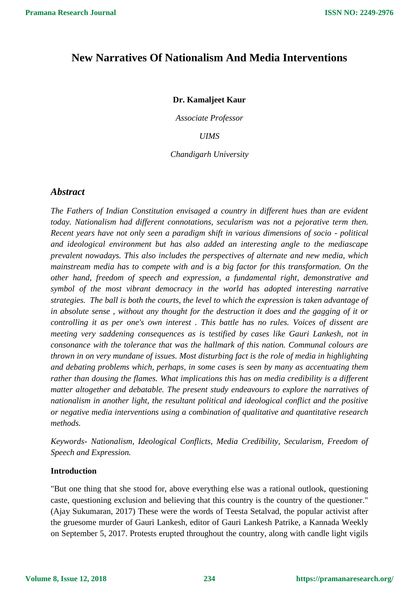# **New Narratives Of Nationalism And Media Interventions**

# **Dr. Kamaljeet Kaur**

*Associate Professor*

*UIMS*

*Chandigarh University*

# *Abstract*

*The Fathers of Indian Constitution envisaged a country in different hues than are evident today. Nationalism had different connotations, secularism was not a pejorative term then. Recent years have not only seen a paradigm shift in various dimensions of socio - political and ideological environment but has also added an interesting angle to the mediascape prevalent nowadays. This also includes the perspectives of alternate and new media, which mainstream media has to compete with and is a big factor for this transformation. On the other hand, freedom of speech and expression, a fundamental right, demonstrative and symbol of the most vibrant democracy in the world has adopted interesting narrative strategies. The ball is both the courts, the level to which the expression is taken advantage of in absolute sense , without any thought for the destruction it does and the gagging of it or controlling it as per one's own interest . This battle has no rules. Voices of dissent are meeting very saddening consequences as is testified by cases like Gauri Lankesh, not in consonance with the tolerance that was the hallmark of this nation. Communal colours are thrown in on very mundane of issues. Most disturbing fact is the role of media in highlighting and debating problems which, perhaps, in some cases is seen by many as accentuating them rather than dousing the flames. What implications this has on media credibility is a different matter altogether and debatable. The present study endeavours to explore the narratives of nationalism in another light, the resultant political and ideological conflict and the positive or negative media interventions using a combination of qualitative and quantitative research methods.* 

*Keywords- Nationalism, Ideological Conflicts, Media Credibility, Secularism, Freedom of Speech and Expression.*

# **Introduction**

"But one thing that she stood for, above everything else was a rational outlook, questioning caste, questioning exclusion and believing that this country is the country of the questioner." (Ajay Sukumaran, 2017) These were the words of Teesta Setalvad, the popular activist after the gruesome murder of Gauri Lankesh, editor of Gauri Lankesh Patrike, a Kannada Weekly on September 5, 2017. Protests erupted throughout the country, along with candle light vigils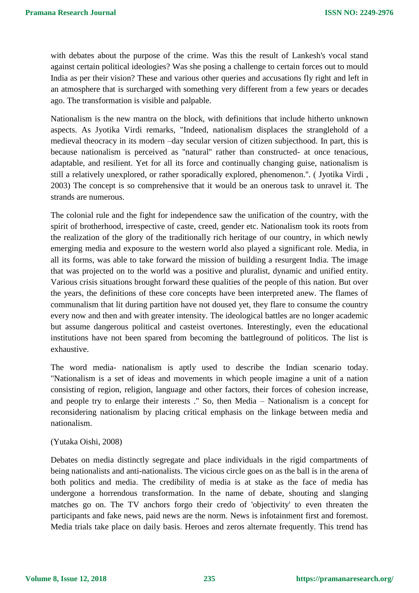with debates about the purpose of the crime. Was this the result of Lankesh's vocal stand against certain political ideologies? Was she posing a challenge to certain forces out to mould India as per their vision? These and various other queries and accusations fly right and left in an atmosphere that is surcharged with something very different from a few years or decades ago. The transformation is visible and palpable.

Nationalism is the new mantra on the block, with definitions that include hitherto unknown aspects. As Jyotika Virdi remarks, "Indeed, nationalism displaces the stranglehold of a medieval theocracy in its modern –day secular version of citizen subjecthood. In part, this is because nationalism is perceived as ''natural'' rather than constructed- at once tenacious, adaptable, and resilient. Yet for all its force and continually changing guise, nationalism is still a relatively unexplored, or rather sporadically explored, phenomenon.''. ( Jyotika Virdi , 2003) The concept is so comprehensive that it would be an onerous task to unravel it. The strands are numerous.

The colonial rule and the fight for independence saw the unification of the country, with the spirit of brotherhood, irrespective of caste, creed, gender etc. Nationalism took its roots from the realization of the glory of the traditionally rich heritage of our country, in which newly emerging media and exposure to the western world also played a significant role. Media, in all its forms, was able to take forward the mission of building a resurgent India. The image that was projected on to the world was a positive and pluralist, dynamic and unified entity. Various crisis situations brought forward these qualities of the people of this nation. But over the years, the definitions of these core concepts have been interpreted anew. The flames of communalism that lit during partition have not doused yet, they flare to consume the country every now and then and with greater intensity. The ideological battles are no longer academic but assume dangerous political and casteist overtones. Interestingly, even the educational institutions have not been spared from becoming the battleground of politicos. The list is exhaustive.

The word media- nationalism is aptly used to describe the Indian scenario today. "Nationalism is a set of ideas and movements in which people imagine a unit of a nation consisting of region, religion, language and other factors, their forces of cohesion increase, and people try to enlarge their interests ." So, then Media – Nationalism is a concept for reconsidering nationalism by placing critical emphasis on the linkage between media and nationalism.

# (Yutaka Oishi, 2008)

Debates on media distinctly segregate and place individuals in the rigid compartments of being nationalists and anti-nationalists. The vicious circle goes on as the ball is in the arena of both politics and media. The credibility of media is at stake as the face of media has undergone a horrendous transformation. In the name of debate, shouting and slanging matches go on. The TV anchors forgo their credo of 'objectivity' to even threaten the participants and fake news, paid news are the norm. News is infotainment first and foremost. Media trials take place on daily basis. Heroes and zeros alternate frequently. This trend has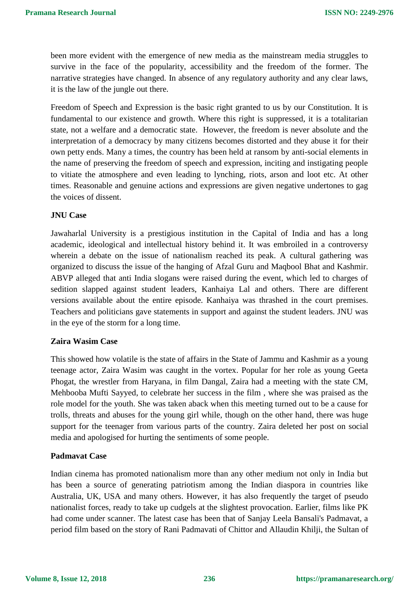been more evident with the emergence of new media as the mainstream media struggles to survive in the face of the popularity, accessibility and the freedom of the former. The narrative strategies have changed. In absence of any regulatory authority and any clear laws, it is the law of the jungle out there.

Freedom of Speech and Expression is the basic right granted to us by our Constitution. It is fundamental to our existence and growth. Where this right is suppressed, it is a totalitarian state, not a welfare and a democratic state. However, the freedom is never absolute and the interpretation of a democracy by many citizens becomes distorted and they abuse it for their own petty ends. Many a times, the country has been held at ransom by anti-social elements in the name of preserving the freedom of speech and expression, inciting and instigating people to vitiate the atmosphere and even leading to lynching, riots, arson and loot etc. At other times. Reasonable and genuine actions and expressions are given negative undertones to gag the voices of dissent.

# **JNU Case**

Jawaharlal University is a prestigious institution in the Capital of India and has a long academic, ideological and intellectual history behind it. It was embroiled in a controversy wherein a debate on the issue of nationalism reached its peak. A cultural gathering was organized to discuss the issue of the hanging of Afzal Guru and Maqbool Bhat and Kashmir. ABVP alleged that anti India slogans were raised during the event, which led to charges of sedition slapped against student leaders, Kanhaiya Lal and others. There are different versions available about the entire episode. Kanhaiya was thrashed in the court premises. Teachers and politicians gave statements in support and against the student leaders. JNU was in the eye of the storm for a long time.

# **Zaira Wasim Case**

This showed how volatile is the state of affairs in the State of Jammu and Kashmir as a young teenage actor, Zaira Wasim was caught in the vortex. Popular for her role as young Geeta Phogat, the wrestler from Haryana, in film Dangal, Zaira had a meeting with the state CM, Mehbooba Mufti Sayyed, to celebrate her success in the film , where she was praised as the role model for the youth. She was taken aback when this meeting turned out to be a cause for trolls, threats and abuses for the young girl while, though on the other hand, there was huge support for the teenager from various parts of the country. Zaira deleted her post on social media and apologised for hurting the sentiments of some people.

# **Padmavat Case**

Indian cinema has promoted nationalism more than any other medium not only in India but has been a source of generating patriotism among the Indian diaspora in countries like Australia, UK, USA and many others. However, it has also frequently the target of pseudo nationalist forces, ready to take up cudgels at the slightest provocation. Earlier, films like PK had come under scanner. The latest case has been that of Sanjay Leela Bansali's Padmavat, a period film based on the story of Rani Padmavati of Chittor and Allaudin Khilji, the Sultan of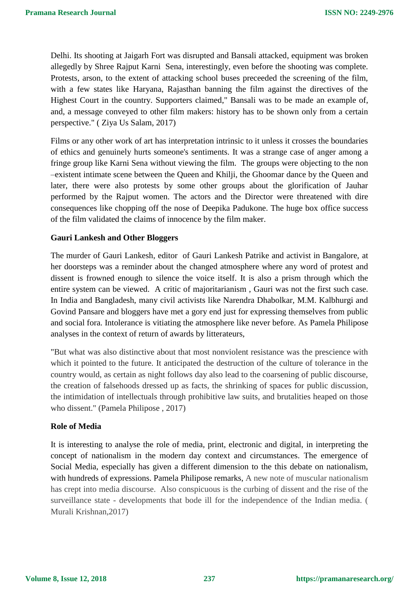Delhi. Its shooting at Jaigarh Fort was disrupted and Bansali attacked, equipment was broken allegedly by Shree Rajput Karni Sena, interestingly, even before the shooting was complete. Protests, arson, to the extent of attacking school buses preceeded the screening of the film, with a few states like Haryana, Rajasthan banning the film against the directives of the Highest Court in the country. Supporters claimed," Bansali was to be made an example of, and, a message conveyed to other film makers: history has to be shown only from a certain perspective." ( Ziya Us Salam, 2017)

Films or any other work of art has interpretation intrinsic to it unless it crosses the boundaries of ethics and genuinely hurts someone's sentiments. It was a strange case of anger among a fringe group like Karni Sena without viewing the film. The groups were objecting to the non –existent intimate scene between the Queen and Khilji, the Ghoomar dance by the Queen and later, there were also protests by some other groups about the glorification of Jauhar performed by the Rajput women. The actors and the Director were threatened with dire consequences like chopping off the nose of Deepika Padukone. The huge box office success of the film validated the claims of innocence by the film maker.

# **Gauri Lankesh and Other Bloggers**

The murder of Gauri Lankesh, editor of Gauri Lankesh Patrike and activist in Bangalore, at her doorsteps was a reminder about the changed atmosphere where any word of protest and dissent is frowned enough to silence the voice itself. It is also a prism through which the entire system can be viewed. A critic of majoritarianism , Gauri was not the first such case. In India and Bangladesh, many civil activists like Narendra Dhabolkar, M.M. Kalbhurgi and Govind Pansare and bloggers have met a gory end just for expressing themselves from public and social fora. Intolerance is vitiating the atmosphere like never before. As Pamela Philipose analyses in the context of return of awards by litterateurs,

"But what was also distinctive about that most nonviolent resistance was the prescience with which it pointed to the future. It anticipated the destruction of the culture of tolerance in the country would, as certain as night follows day also lead to the coarsening of public discourse, the creation of falsehoods dressed up as facts, the shrinking of spaces for public discussion, the intimidation of intellectuals through prohibitive law suits, and brutalities heaped on those who dissent." (Pamela Philipose , 2017)

# **Role of Media**

It is interesting to analyse the role of media, print, electronic and digital, in interpreting the concept of nationalism in the modern day context and circumstances. The emergence of Social Media, especially has given a different dimension to the this debate on nationalism, with hundreds of expressions. Pamela Philipose remarks, A new note of muscular nationalism has crept into media discourse. Also conspicuous is the curbing of dissent and the rise of the surveillance state - developments that bode ill for the independence of the Indian media. ( Murali Krishnan,2017)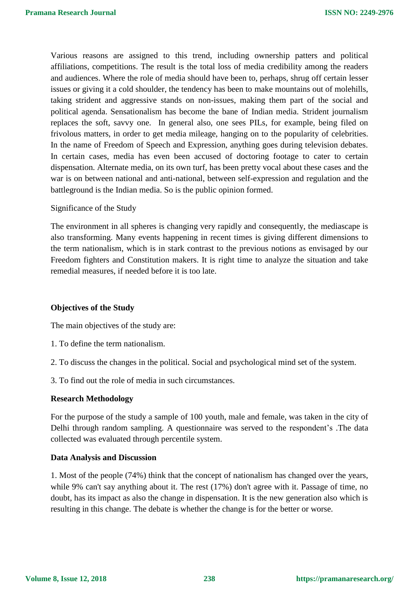Various reasons are assigned to this trend, including ownership patters and political affiliations, competitions. The result is the total loss of media credibility among the readers and audiences. Where the role of media should have been to, perhaps, shrug off certain lesser issues or giving it a cold shoulder, the tendency has been to make mountains out of molehills, taking strident and aggressive stands on non-issues, making them part of the social and political agenda. Sensationalism has become the bane of Indian media. Strident journalism replaces the soft, savvy one. In general also, one sees PILs, for example, being filed on frivolous matters, in order to get media mileage, hanging on to the popularity of celebrities. In the name of Freedom of Speech and Expression, anything goes during television debates. In certain cases, media has even been accused of doctoring footage to cater to certain dispensation. Alternate media, on its own turf, has been pretty vocal about these cases and the war is on between national and anti-national, between self-expression and regulation and the battleground is the Indian media. So is the public opinion formed.

# Significance of the Study

The environment in all spheres is changing very rapidly and consequently, the mediascape is also transforming. Many events happening in recent times is giving different dimensions to the term nationalism, which is in stark contrast to the previous notions as envisaged by our Freedom fighters and Constitution makers. It is right time to analyze the situation and take remedial measures, if needed before it is too late.

# **Objectives of the Study**

The main objectives of the study are:

- 1. To define the term nationalism.
- 2. To discuss the changes in the political. Social and psychological mind set of the system.
- 3. To find out the role of media in such circumstances.

# **Research Methodology**

For the purpose of the study a sample of 100 youth, male and female, was taken in the city of Delhi through random sampling. A questionnaire was served to the respondent's .The data collected was evaluated through percentile system.

# **Data Analysis and Discussion**

1. Most of the people (74%) think that the concept of nationalism has changed over the years, while 9% can't say anything about it. The rest (17%) don't agree with it. Passage of time, no doubt, has its impact as also the change in dispensation. It is the new generation also which is resulting in this change. The debate is whether the change is for the better or worse.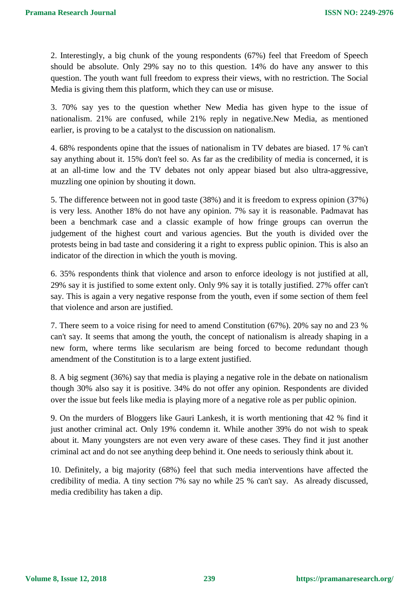2. Interestingly, a big chunk of the young respondents (67%) feel that Freedom of Speech should be absolute. Only 29% say no to this question. 14% do have any answer to this question. The youth want full freedom to express their views, with no restriction. The Social Media is giving them this platform, which they can use or misuse.

3. 70% say yes to the question whether New Media has given hype to the issue of nationalism. 21% are confused, while 21% reply in negative.New Media, as mentioned earlier, is proving to be a catalyst to the discussion on nationalism.

4. 68% respondents opine that the issues of nationalism in TV debates are biased. 17 % can't say anything about it. 15% don't feel so. As far as the credibility of media is concerned, it is at an all-time low and the TV debates not only appear biased but also ultra-aggressive, muzzling one opinion by shouting it down.

5. The difference between not in good taste (38%) and it is freedom to express opinion (37%) is very less. Another 18% do not have any opinion. 7% say it is reasonable. Padmavat has been a benchmark case and a classic example of how fringe groups can overrun the judgement of the highest court and various agencies. But the youth is divided over the protests being in bad taste and considering it a right to express public opinion. This is also an indicator of the direction in which the youth is moving.

6. 35% respondents think that violence and arson to enforce ideology is not justified at all, 29% say it is justified to some extent only. Only 9% say it is totally justified. 27% offer can't say. This is again a very negative response from the youth, even if some section of them feel that violence and arson are justified.

7. There seem to a voice rising for need to amend Constitution (67%). 20% say no and 23 % can't say. It seems that among the youth, the concept of nationalism is already shaping in a new form, where terms like secularism are being forced to become redundant though amendment of the Constitution is to a large extent justified.

8. A big segment (36%) say that media is playing a negative role in the debate on nationalism though 30% also say it is positive. 34% do not offer any opinion. Respondents are divided over the issue but feels like media is playing more of a negative role as per public opinion.

9. On the murders of Bloggers like Gauri Lankesh, it is worth mentioning that 42 % find it just another criminal act. Only 19% condemn it. While another 39% do not wish to speak about it. Many youngsters are not even very aware of these cases. They find it just another criminal act and do not see anything deep behind it. One needs to seriously think about it.

10. Definitely, a big majority (68%) feel that such media interventions have affected the credibility of media. A tiny section 7% say no while 25 % can't say. As already discussed, media credibility has taken a dip.